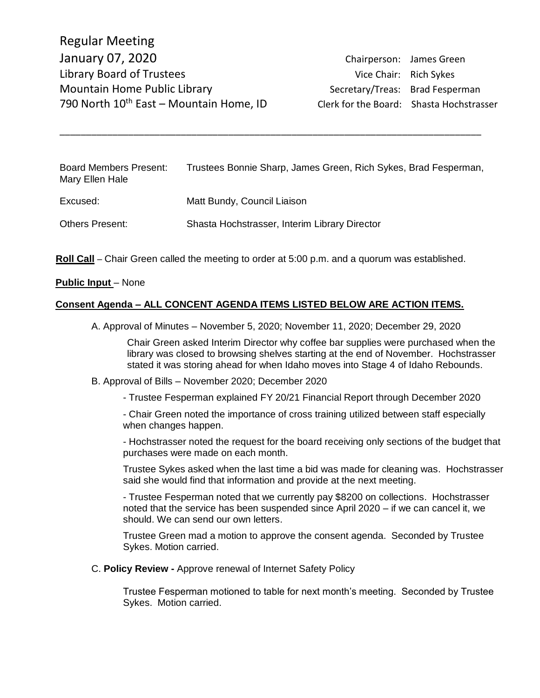| <b>Board Members Present:</b><br>Mary Ellen Hale | Trustees Bonnie Sharp, James Green, Rich Sykes, Brad Fesperman, |
|--------------------------------------------------|-----------------------------------------------------------------|
| Excused:                                         | Matt Bundy, Council Liaison                                     |
| <b>Others Present:</b>                           | Shasta Hochstrasser, Interim Library Director                   |

\_\_\_\_\_\_\_\_\_\_\_\_\_\_\_\_\_\_\_\_\_\_\_\_\_\_\_\_\_\_\_\_\_\_\_\_\_\_\_\_\_\_\_\_\_\_\_\_\_\_\_\_\_\_\_\_\_\_\_\_\_\_\_\_\_\_\_\_\_\_\_\_\_\_\_\_\_\_\_\_

**Roll Call** – Chair Green called the meeting to order at 5:00 p.m. and a quorum was established.

#### **Public Input – None**

#### **Consent Agenda – ALL CONCENT AGENDA ITEMS LISTED BELOW ARE ACTION ITEMS.**

A. Approval of Minutes – November 5, 2020; November 11, 2020; December 29, 2020

Chair Green asked Interim Director why coffee bar supplies were purchased when the library was closed to browsing shelves starting at the end of November. Hochstrasser stated it was storing ahead for when Idaho moves into Stage 4 of Idaho Rebounds.

#### B. Approval of Bills – November 2020; December 2020

- Trustee Fesperman explained FY 20/21 Financial Report through December 2020

- Chair Green noted the importance of cross training utilized between staff especially when changes happen.

- Hochstrasser noted the request for the board receiving only sections of the budget that purchases were made on each month.

Trustee Sykes asked when the last time a bid was made for cleaning was. Hochstrasser said she would find that information and provide at the next meeting.

- Trustee Fesperman noted that we currently pay \$8200 on collections. Hochstrasser noted that the service has been suspended since April 2020 – if we can cancel it, we should. We can send our own letters.

Trustee Green mad a motion to approve the consent agenda. Seconded by Trustee Sykes. Motion carried.

#### C. **Policy Review -** Approve renewal of Internet Safety Policy

Trustee Fesperman motioned to table for next month's meeting. Seconded by Trustee Sykes. Motion carried.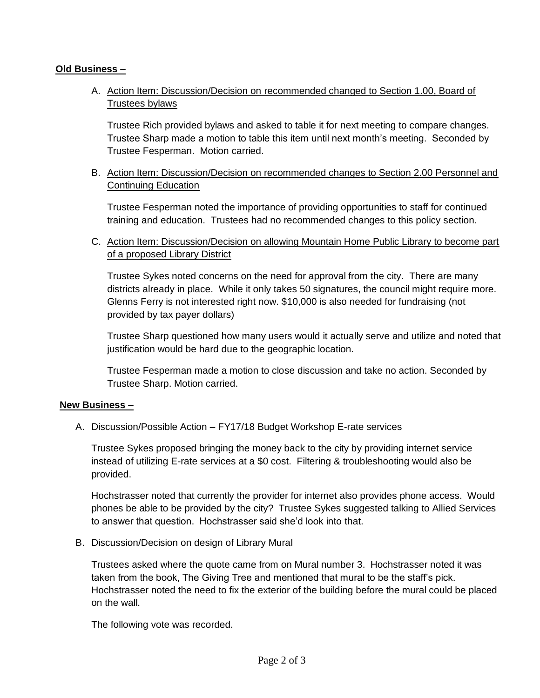# **Old Business –**

A. Action Item: Discussion/Decision on recommended changed to Section 1.00, Board of Trustees bylaws

Trustee Rich provided bylaws and asked to table it for next meeting to compare changes. Trustee Sharp made a motion to table this item until next month's meeting. Seconded by Trustee Fesperman. Motion carried.

B. Action Item: Discussion/Decision on recommended changes to Section 2.00 Personnel and Continuing Education

Trustee Fesperman noted the importance of providing opportunities to staff for continued training and education. Trustees had no recommended changes to this policy section.

C. Action Item: Discussion/Decision on allowing Mountain Home Public Library to become part of a proposed Library District

Trustee Sykes noted concerns on the need for approval from the city. There are many districts already in place. While it only takes 50 signatures, the council might require more. Glenns Ferry is not interested right now. \$10,000 is also needed for fundraising (not provided by tax payer dollars)

Trustee Sharp questioned how many users would it actually serve and utilize and noted that justification would be hard due to the geographic location.

Trustee Fesperman made a motion to close discussion and take no action. Seconded by Trustee Sharp. Motion carried.

# **New Business –**

A. Discussion/Possible Action – FY17/18 Budget Workshop E-rate services

Trustee Sykes proposed bringing the money back to the city by providing internet service instead of utilizing E-rate services at a \$0 cost. Filtering & troubleshooting would also be provided.

Hochstrasser noted that currently the provider for internet also provides phone access. Would phones be able to be provided by the city? Trustee Sykes suggested talking to Allied Services to answer that question. Hochstrasser said she'd look into that.

B. Discussion/Decision on design of Library Mural

Trustees asked where the quote came from on Mural number 3. Hochstrasser noted it was taken from the book, The Giving Tree and mentioned that mural to be the staff's pick. Hochstrasser noted the need to fix the exterior of the building before the mural could be placed on the wall.

The following vote was recorded.